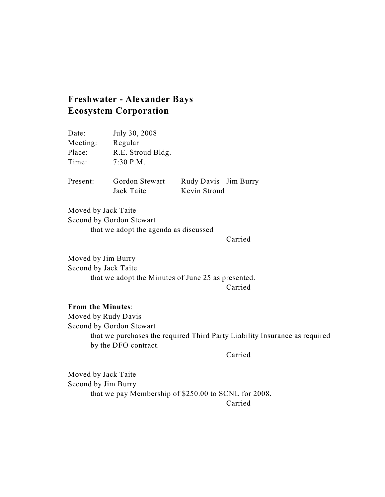## **Freshwater - Alexander Bays Ecosystem Corporation**

| Date:    | July 30, 2008                |                                      |  |
|----------|------------------------------|--------------------------------------|--|
| Meeting: | Regular                      |                                      |  |
| Place:   | R.E. Stroud Bldg.            |                                      |  |
| Time:    | $7:30$ P.M.                  |                                      |  |
| Present: | Gordon Stewart<br>Jack Taite | Rudy Davis Jim Burry<br>Kevin Stroud |  |

Moved by Jack Taite Second by Gordon Stewart that we adopt the agenda as discussed

Carried

Moved by Jim Burry Second by Jack Taite that we adopt the Minutes of June 25 as presented.

## Carried

## **From the Minutes**:

Moved by Rudy Davis Second by Gordon Stewart that we purchases the required Third Party Liability Insurance as required by the DFO contract.

Carried

Moved by Jack Taite Second by Jim Burry that we pay Membership of \$250.00 to SCNL for 2008. Carried